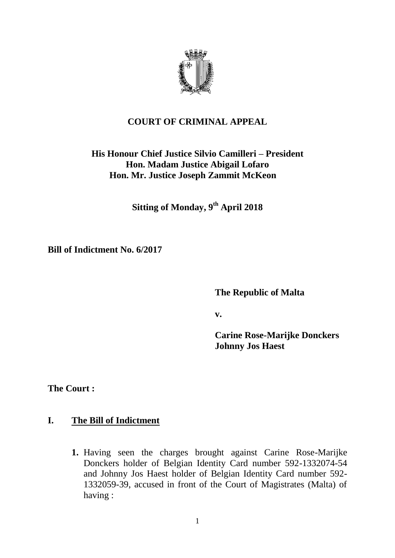

# **COURT OF CRIMINAL APPEAL**

# **His Honour Chief Justice Silvio Camilleri – President Hon. Madam Justice Abigail Lofaro Hon. Mr. Justice Joseph Zammit McKeon**

**Sitting of Monday, 9th April 2018**

**Bill of Indictment No. 6/2017**

**The Republic of Malta**

**v.**

**Carine Rose-Marijke Donckers Johnny Jos Haest**

**The Court :**

## **I. The Bill of Indictment**

**1.** Having seen the charges brought against Carine Rose-Marijke Donckers holder of Belgian Identity Card number 592-1332074-54 and Johnny Jos Haest holder of Belgian Identity Card number 592- 1332059-39, accused in front of the Court of Magistrates (Malta) of having :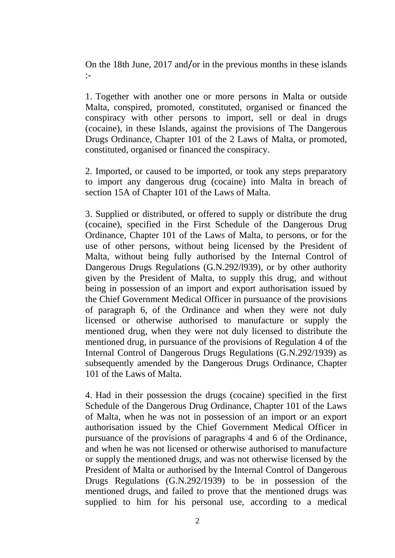On the 18th June, 2017 and/or in the previous months in these islands :-

1. Together with another one or more persons in Malta or outside Malta, conspired, promoted, constituted, organised or financed the conspiracy with other persons to import, sell or deal in drugs (cocaine), in these Islands, against the provisions of The Dangerous Drugs Ordinance, Chapter 101 of the 2 Laws of Malta, or promoted, constituted, organised or financed the conspiracy.

2. Imported, or caused to be imported, or took any steps preparatory to import any dangerous drug (cocaine) into Malta in breach of section 15A of Chapter 101 of the Laws of Malta.

3. Supplied or distributed, or offered to supply or distribute the drug (cocaine), specified in the First Schedule of the Dangerous Drug Ordinance, Chapter 101 of the Laws of Malta, to persons, or for the use of other persons, without being licensed by the President of Malta, without being fully authorised by the Internal Control of Dangerous Drugs Regulations (G.N.292/l939), or by other authority given by the President of Malta, to supply this drug, and without being in possession of an import and export authorisation issued by the Chief Government Medical Officer in pursuance of the provisions of paragraph 6, of the Ordinance and when they were not duly licensed or otherwise authorised to manufacture or supply the mentioned drug, when they were not duly licensed to distribute the mentioned drug, in pursuance of the provisions of Regulation 4 of the Internal Control of Dangerous Drugs Regulations (G.N.292/1939) as subsequently amended by the Dangerous Drugs Ordinance, Chapter 101 of the Laws of Malta.

4. Had in their possession the drugs (cocaine) specified in the first Schedule of the Dangerous Drug Ordinance, Chapter 101 of the Laws of Malta, when he was not in possession of an import or an export authorisation issued by the Chief Government Medical Officer in pursuance of the provisions of paragraphs 4 and 6 of the Ordinance, and when he was not licensed or otherwise authorised to manufacture or supply the mentioned drugs, and was not otherwise licensed by the President of Malta or authorised by the Internal Control of Dangerous Drugs Regulations (G.N.292/1939) to be in possession of the mentioned drugs, and failed to prove that the mentioned drugs was supplied to him for his personal use, according to a medical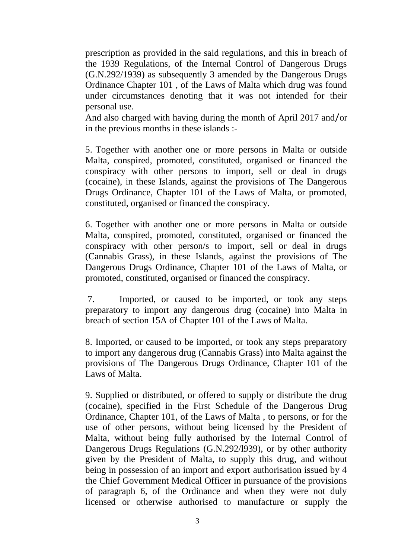prescription as provided in the said regulations, and this in breach of the 1939 Regulations, of the Internal Control of Dangerous Drugs (G.N.292/1939) as subsequently 3 amended by the Dangerous Drugs Ordinance Chapter 101 , of the Laws of Malta which drug was found under circumstances denoting that it was not intended for their personal use.

And also charged with having during the month of April 2017 and/or in the previous months in these islands :-

5. Together with another one or more persons in Malta or outside Malta, conspired, promoted, constituted, organised or financed the conspiracy with other persons to import, sell or deal in drugs (cocaine), in these Islands, against the provisions of The Dangerous Drugs Ordinance, Chapter 101 of the Laws of Malta, or promoted, constituted, organised or financed the conspiracy.

6. Together with another one or more persons in Malta or outside Malta, conspired, promoted, constituted, organised or financed the conspiracy with other person/s to import, sell or deal in drugs (Cannabis Grass), in these Islands, against the provisions of The Dangerous Drugs Ordinance, Chapter 101 of the Laws of Malta, or promoted, constituted, organised or financed the conspiracy.

7. Imported, or caused to be imported, or took any steps preparatory to import any dangerous drug (cocaine) into Malta in breach of section 15A of Chapter 101 of the Laws of Malta.

8. Imported, or caused to be imported, or took any steps preparatory to import any dangerous drug (Cannabis Grass) into Malta against the provisions of The Dangerous Drugs Ordinance, Chapter 101 of the Laws of Malta.

9. Supplied or distributed, or offered to supply or distribute the drug (cocaine), specified in the First Schedule of the Dangerous Drug Ordinance, Chapter 101, of the Laws of Malta , to persons, or for the use of other persons, without being licensed by the President of Malta, without being fully authorised by the Internal Control of Dangerous Drugs Regulations (G.N.292/l939), or by other authority given by the President of Malta, to supply this drug, and without being in possession of an import and export authorisation issued by 4 the Chief Government Medical Officer in pursuance of the provisions of paragraph 6, of the Ordinance and when they were not duly licensed or otherwise authorised to manufacture or supply the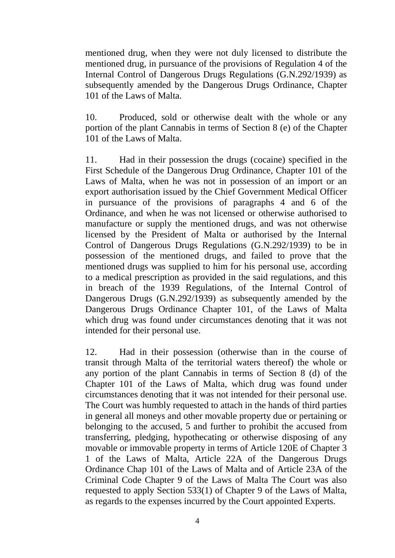mentioned drug, when they were not duly licensed to distribute the mentioned drug, in pursuance of the provisions of Regulation 4 of the Internal Control of Dangerous Drugs Regulations (G.N.292/1939) as subsequently amended by the Dangerous Drugs Ordinance, Chapter 101 of the Laws of Malta.

10. Produced, sold or otherwise dealt with the whole or any portion of the plant Cannabis in terms of Section 8 (e) of the Chapter 101 of the Laws of Malta.

11. Had in their possession the drugs (cocaine) specified in the First Schedule of the Dangerous Drug Ordinance, Chapter 101 of the Laws of Malta, when he was not in possession of an import or an export authorisation issued by the Chief Government Medical Officer in pursuance of the provisions of paragraphs 4 and 6 of the Ordinance, and when he was not licensed or otherwise authorised to manufacture or supply the mentioned drugs, and was not otherwise licensed by the President of Malta or authorised by the Internal Control of Dangerous Drugs Regulations (G.N.292/1939) to be in possession of the mentioned drugs, and failed to prove that the mentioned drugs was supplied to him for his personal use, according to a medical prescription as provided in the said regulations, and this in breach of the 1939 Regulations, of the Internal Control of Dangerous Drugs (G.N.292/1939) as subsequently amended by the Dangerous Drugs Ordinance Chapter 101, of the Laws of Malta which drug was found under circumstances denoting that it was not intended for their personal use.

12. Had in their possession (otherwise than in the course of transit through Malta of the territorial waters thereof) the whole or any portion of the plant Cannabis in terms of Section 8 (d) of the Chapter 101 of the Laws of Malta, which drug was found under circumstances denoting that it was not intended for their personal use. The Court was humbly requested to attach in the hands of third parties in general all moneys and other movable property due or pertaining or belonging to the accused, 5 and further to prohibit the accused from transferring, pledging, hypothecating or otherwise disposing of any movable or immovable property in terms of Article 120E of Chapter 3 1 of the Laws of Malta, Article 22A of the Dangerous Drugs Ordinance Chap 101 of the Laws of Malta and of Article 23A of the Criminal Code Chapter 9 of the Laws of Malta The Court was also requested to apply Section 533(1) of Chapter 9 of the Laws of Malta, as regards to the expenses incurred by the Court appointed Experts.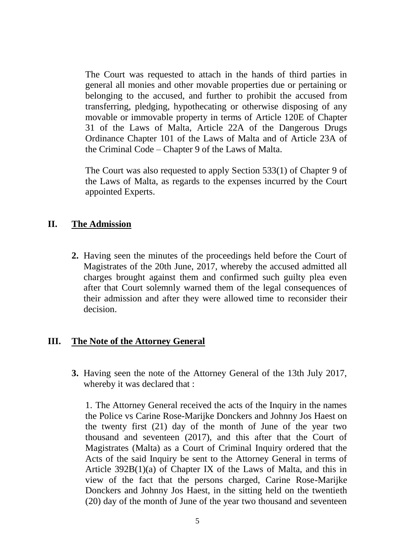The Court was requested to attach in the hands of third parties in general all monies and other movable properties due or pertaining or belonging to the accused, and further to prohibit the accused from transferring, pledging, hypothecating or otherwise disposing of any movable or immovable property in terms of Article 120E of Chapter 31 of the Laws of Malta, Article 22A of the Dangerous Drugs Ordinance Chapter 101 of the Laws of Malta and of Article 23A of the Criminal Code – Chapter 9 of the Laws of Malta.

The Court was also requested to apply Section 533(1) of Chapter 9 of the Laws of Malta, as regards to the expenses incurred by the Court appointed Experts.

### **II. The Admission**

**2.** Having seen the minutes of the proceedings held before the Court of Magistrates of the 20th June, 2017, whereby the accused admitted all charges brought against them and confirmed such guilty plea even after that Court solemnly warned them of the legal consequences of their admission and after they were allowed time to reconsider their decision.

#### **III. The Note of the Attorney General**

**3.** Having seen the note of the Attorney General of the 13th July 2017, whereby it was declared that :

1. The Attorney General received the acts of the Inquiry in the names the Police vs Carine Rose-Marijke Donckers and Johnny Jos Haest on the twenty first (21) day of the month of June of the year two thousand and seventeen (2017), and this after that the Court of Magistrates (Malta) as a Court of Criminal Inquiry ordered that the Acts of the said Inquiry be sent to the Attorney General in terms of Article 392B(1)(a) of Chapter IX of the Laws of Malta, and this in view of the fact that the persons charged, Carine Rose-Marijke Donckers and Johnny Jos Haest, in the sitting held on the twentieth (20) day of the month of June of the year two thousand and seventeen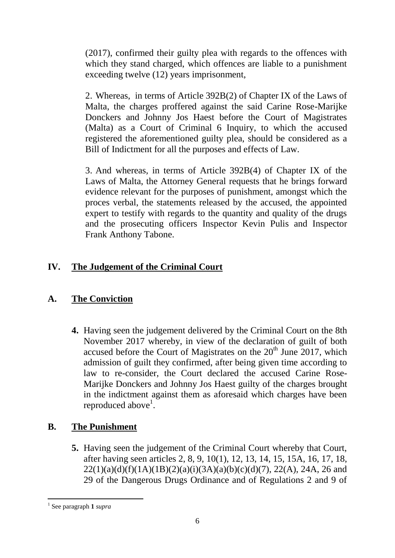(2017), confirmed their guilty plea with regards to the offences with which they stand charged, which offences are liable to a punishment exceeding twelve (12) years imprisonment,

2. Whereas, in terms of Article 392B(2) of Chapter IX of the Laws of Malta, the charges proffered against the said Carine Rose-Marijke Donckers and Johnny Jos Haest before the Court of Magistrates (Malta) as a Court of Criminal 6 Inquiry, to which the accused registered the aforementioned guilty plea, should be considered as a Bill of Indictment for all the purposes and effects of Law.

3. And whereas, in terms of Article 392B(4) of Chapter IX of the Laws of Malta, the Attorney General requests that he brings forward evidence relevant for the purposes of punishment, amongst which the proces verbal, the statements released by the accused, the appointed expert to testify with regards to the quantity and quality of the drugs and the prosecuting officers Inspector Kevin Pulis and Inspector Frank Anthony Tabone.

# **IV. The Judgement of the Criminal Court**

# **A. The Conviction**

**4.** Having seen the judgement delivered by the Criminal Court on the 8th November 2017 whereby, in view of the declaration of guilt of both accused before the Court of Magistrates on the  $20<sup>th</sup>$  June 2017, which admission of guilt they confirmed, after being given time according to law to re-consider, the Court declared the accused Carine Rose-Marijke Donckers and Johnny Jos Haest guilty of the charges brought in the indictment against them as aforesaid which charges have been reproduced above<sup>1</sup>.

## **B. The Punishment**

**5.** Having seen the judgement of the Criminal Court whereby that Court, after having seen articles 2, 8, 9, 10(1), 12, 13, 14, 15, 15A, 16, 17, 18,  $22(1)(a)(d)(f)(1A)(1B)(2)(a)(i)(3A)(a)(b)(c)(d)(7)$ ,  $22(A)$ ,  $24A$ ,  $26$  and 29 of the Dangerous Drugs Ordinance and of Regulations 2 and 9 of

1

<sup>1</sup> See paragraph **1** *supra*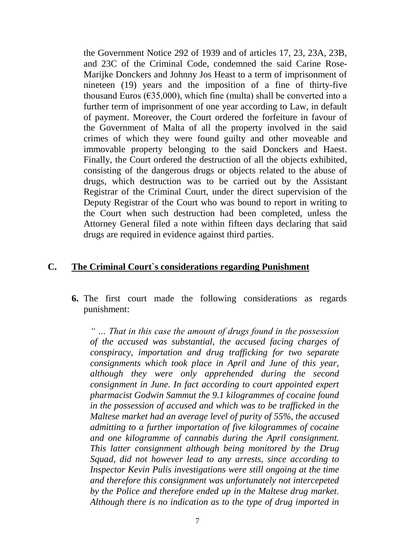the Government Notice 292 of 1939 and of articles 17, 23, 23A, 23B, and 23C of the Criminal Code, condemned the said Carine Rose-Marijke Donckers and Johnny Jos Heast to a term of imprisonment of nineteen (19) years and the imposition of a fine of thirty-five thousand Euros ( $\epsilon$ 35,000), which fine (multa) shall be converted into a further term of imprisonment of one year according to Law, in default of payment. Moreover, the Court ordered the forfeiture in favour of the Government of Malta of all the property involved in the said crimes of which they were found guilty and other moveable and immovable property belonging to the said Donckers and Haest. Finally, the Court ordered the destruction of all the objects exhibited, consisting of the dangerous drugs or objects related to the abuse of drugs, which destruction was to be carried out by the Assistant Registrar of the Criminal Court, under the direct supervision of the Deputy Registrar of the Court who was bound to report in writing to the Court when such destruction had been completed, unless the Attorney General filed a note within fifteen days declaring that said drugs are required in evidence against third parties.

### **C. The Criminal Court`s considerations regarding Punishment**

**6.** The first court made the following considerations as regards punishment:

*" … That in this case the amount of drugs found in the possession of the accused was substantial, the accused facing charges of conspiracy, importation and drug trafficking for two separate consignments which took place in April and June of this year, although they were only apprehended during the second consignment in June. In fact according to court appointed expert pharmacist Godwin Sammut the 9.1 kilogrammes of cocaine found in the possession of accused and which was to be trafficked in the Maltese market had an average level of purity of 55%, the accused admitting to a further importation of five kilogrammes of cocaine and one kilogramme of cannabis during the April consignment. This latter consignment although being monitored by the Drug Squad, did not however lead to any arrests, since according to Inspector Kevin Pulis investigations were still ongoing at the time and therefore this consignment was unfortunately not intercepeted by the Police and therefore ended up in the Maltese drug market. Although there is no indication as to the type of drug imported in*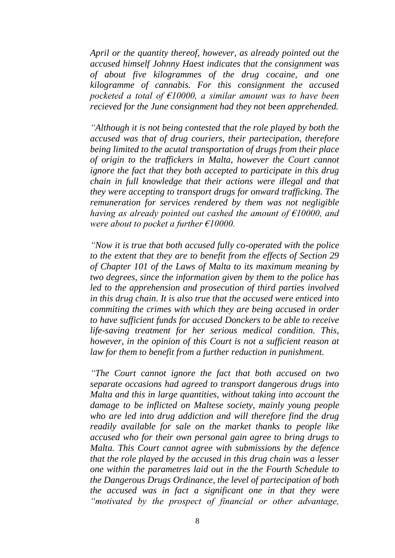*April or the quantity thereof, however, as already pointed out the accused himself Johnny Haest indicates that the consignment was of about five kilogrammes of the drug cocaine, and one kilogramme of cannabis. For this consignment the accused pocketed a total of €10000, a similar amount was to have been recieved for the June consignment had they not been apprehended.* 

*"Although it is not being contested that the role played by both the accused was that of drug couriers, their partecipation, therefore being limited to the acutal transportation of drugs from their place of origin to the traffickers in Malta, however the Court cannot ignore the fact that they both accepted to participate in this drug chain in full knowledge that their actions were illegal and that they were accepting to transport drugs for onward trafficking. The remuneration for services rendered by them was not negligible having as already pointed out cashed the amount of €10000, and were about to pocket a further €10000.*

*"Now it is true that both accused fully co-operated with the police to the extent that they are to benefit from the effects of Section 29 of Chapter 101 of the Laws of Malta to its maximum meaning by two degrees, since the information given by them to the police has led to the apprehension and prosecution of third parties involved in this drug chain. It is also true that the accused were enticed into commiting the crimes with which they are being accused in order to have sufficient funds for accused Donckers to be able to receive life-saving treatment for her serious medical condition. This, however, in the opinion of this Court is not a sufficient reason at law for them to benefit from a further reduction in punishment.* 

*"The Court cannot ignore the fact that both accused on two separate occasions had agreed to transport dangerous drugs into Malta and this in large quantities, without taking into account the damage to be inflicted on Maltese society, mainly young people who are led into drug addiction and will therefore find the drug readily available for sale on the market thanks to people like accused who for their own personal gain agree to bring drugs to Malta. This Court cannot agree with submissions by the defence that the role played by the accused in this drug chain was a lesser one within the parametres laid out in the the Fourth Schedule to the Dangerous Drugs Ordinance, the level of partecipation of both the accused was in fact a significant one in that they were "motivated by the prospect of financial or other advantage,*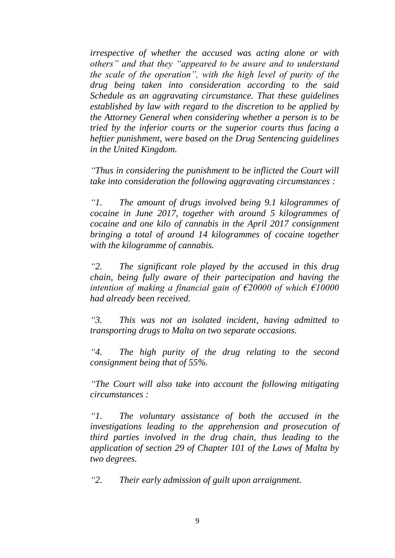*irrespective of whether the accused was acting alone or with others" and that they "appeared to be aware and to understand the scale of the operation", with the high level of purity of the drug being taken into consideration according to the said Schedule as an aggravating circumstance. That these guidelines established by law with regard to the discretion to be applied by the Attorney General when considering whether a person is to be tried by the inferior courts or the superior courts thus facing a heftier punishment, were based on the Drug Sentencing guidelines in the United Kingdom.* 

*"Thus in considering the punishment to be inflicted the Court will take into consideration the following aggravating circumstances :* 

*"1. The amount of drugs involved being 9.1 kilogrammes of cocaine in June 2017, together with around 5 kilogrammes of cocaine and one kilo of cannabis in the April 2017 consignment bringing a total of around 14 kilogrammes of cocaine together with the kilogramme of cannabis.* 

*"2. The significant role played by the accused in this drug chain, being fully aware of their partecipation and having the intention of making a financial gain of €20000 of which €10000 had already been received.* 

*"3. This was not an isolated incident, having admitted to transporting drugs to Malta on two separate occasions.* 

*"4. The high purity of the drug relating to the second consignment being that of 55%.* 

*"The Court will also take into account the following mitigating circumstances :* 

*"1. The voluntary assistance of both the accused in the investigations leading to the apprehension and prosecution of third parties involved in the drug chain, thus leading to the application of section 29 of Chapter 101 of the Laws of Malta by two degrees.* 

*"2. Their early admission of guilt upon arraignment.*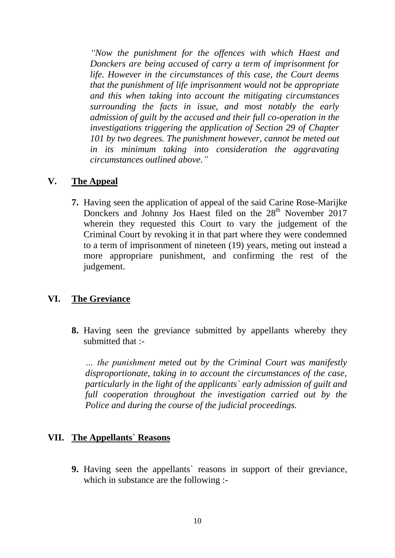*"Now the punishment for the offences with which Haest and Donckers are being accused of carry a term of imprisonment for life. However in the circumstances of this case, the Court deems that the punishment of life imprisonment would not be appropriate and this when taking into account the mitigating circumstances surrounding the facts in issue, and most notably the early admission of guilt by the accused and their full co-operation in the investigations triggering the application of Section 29 of Chapter 101 by two degrees. The punishment however, cannot be meted out in its minimum taking into consideration the aggravating circumstances outlined above."*

### **V. The Appeal**

**7.** Having seen the application of appeal of the said Carine Rose-Marijke Donckers and Johnny Jos Haest filed on the 28<sup>th</sup> November 2017 wherein they requested this Court to vary the judgement of the Criminal Court by revoking it in that part where they were condemned to a term of imprisonment of nineteen (19) years, meting out instead a more appropriare punishment, and confirming the rest of the judgement.

#### **VI. The Greviance**

**8.** Having seen the greviance submitted by appellants whereby they submitted that :-

*… the punishment meted out by the Criminal Court was manifestly disproportionate, taking in to account the circumstances of the case, particularly in the light of the applicants` early admission of guilt and full cooperation throughout the investigation carried out by the Police and during the course of the judicial proceedings.*

#### **VII. The Appellants` Reasons**

**9.** Having seen the appellants` reasons in support of their greviance, which in substance are the following :-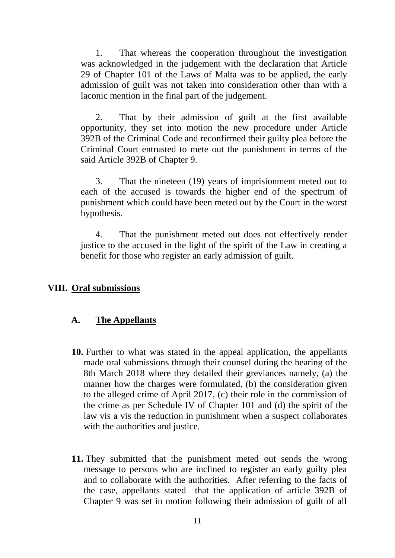1. That whereas the cooperation throughout the investigation was acknowledged in the judgement with the declaration that Article 29 of Chapter 101 of the Laws of Malta was to be applied, the early admission of guilt was not taken into consideration other than with a laconic mention in the final part of the judgement.

2. That by their admission of guilt at the first available opportunity, they set into motion the new procedure under Article 392B of the Criminal Code and reconfirmed their guilty plea before the Criminal Court entrusted to mete out the punishment in terms of the said Article 392B of Chapter 9.

3. That the nineteen (19) years of imprisionment meted out to each of the accused is towards the higher end of the spectrum of punishment which could have been meted out by the Court in the worst hypothesis.

4. That the punishment meted out does not effectively render justice to the accused in the light of the spirit of the Law in creating a benefit for those who register an early admission of guilt.

#### **VIII. Oral submissions**

#### **A. The Appellants**

- **10.** Further to what was stated in the appeal application, the appellants made oral submissions through their counsel during the hearing of the 8th March 2018 where they detailed their greviances namely, (a) the manner how the charges were formulated, (b) the consideration given to the alleged crime of April 2017, (c) their role in the commission of the crime as per Schedule IV of Chapter 101 and (d) the spirit of the law vis a vis the reduction in punishment when a suspect collaborates with the authorities and justice.
- **11.** They submitted that the punishment meted out sends the wrong message to persons who are inclined to register an early guilty plea and to collaborate with the authorities. After referring to the facts of the case, appellants stated that the application of article 392B of Chapter 9 was set in motion following their admission of guilt of all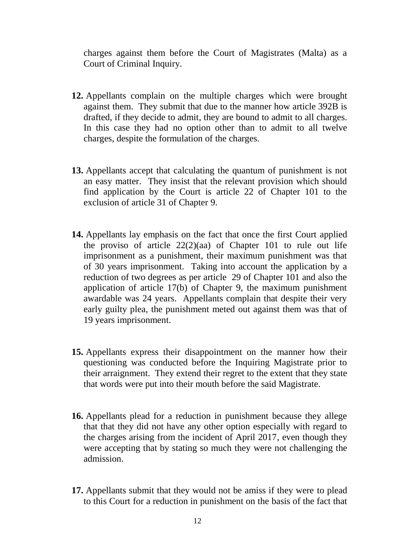charges against them before the Court of Magistrates (Malta) as a Court of Criminal Inquiry.

- **12.** Appellants complain on the multiple charges which were brought against them. They submit that due to the manner how article 392B is drafted, if they decide to admit, they are bound to admit to all charges. In this case they had no option other than to admit to all twelve charges, despite the formulation of the charges.
- **13.** Appellants accept that calculating the quantum of punishment is not an easy matter. They insist that the relevant provision which should find application by the Court is article 22 of Chapter 101 to the exclusion of article 31 of Chapter 9.
- **14.** Appellants lay emphasis on the fact that once the first Court applied the proviso of article  $22(2)(aa)$  of Chapter 101 to rule out life imprisonment as a punishment, their maximum punishment was that of 30 years imprisonment. Taking into account the application by a reduction of two degrees as per article 29 of Chapter 101 and also the application of article 17(b) of Chapter 9, the maximum punishment awardable was 24 years. Appellants complain that despite their very early guilty plea, the punishment meted out against them was that of 19 years imprisonment.
- **15.** Appellants express their disappointment on the manner how their questioning was conducted before the Inquiring Magistrate prior to their arraignment. They extend their regret to the extent that they state that words were put into their mouth before the said Magistrate.
- **16.** Appellants plead for a reduction in punishment because they allege that that they did not have any other option especially with regard to the charges arising from the incident of April 2017, even though they were accepting that by stating so much they were not challenging the admission.
- **17.** Appellants submit that they would not be amiss if they were to plead to this Court for a reduction in punishment on the basis of the fact that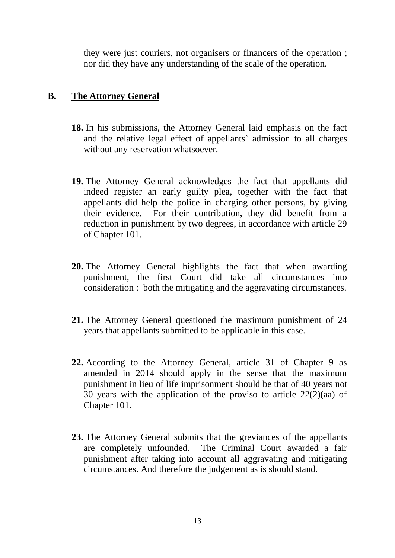they were just couriers, not organisers or financers of the operation ; nor did they have any understanding of the scale of the operation.

### **B. The Attorney General**

- **18.** In his submissions, the Attorney General laid emphasis on the fact and the relative legal effect of appellants` admission to all charges without any reservation whatsoever.
- **19.** The Attorney General acknowledges the fact that appellants did indeed register an early guilty plea, together with the fact that appellants did help the police in charging other persons, by giving their evidence. For their contribution, they did benefit from a reduction in punishment by two degrees, in accordance with article 29 of Chapter 101.
- **20.** The Attorney General highlights the fact that when awarding punishment, the first Court did take all circumstances into consideration : both the mitigating and the aggravating circumstances.
- **21.** The Attorney General questioned the maximum punishment of 24 years that appellants submitted to be applicable in this case.
- **22.** According to the Attorney General, article 31 of Chapter 9 as amended in 2014 should apply in the sense that the maximum punishment in lieu of life imprisonment should be that of 40 years not 30 years with the application of the proviso to article  $22(2)(aa)$  of Chapter 101.
- **23.** The Attorney General submits that the greviances of the appellants are completely unfounded. The Criminal Court awarded a fair punishment after taking into account all aggravating and mitigating circumstances. And therefore the judgement as is should stand.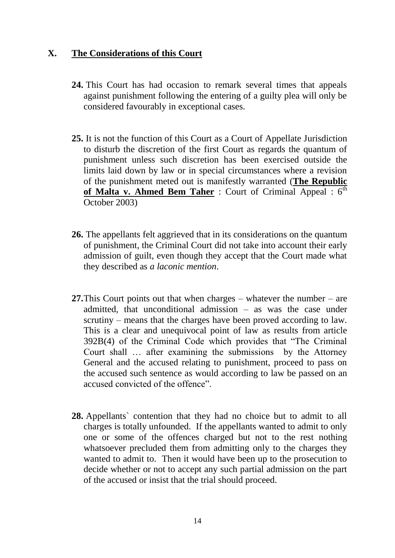### **X. The Considerations of this Court**

- **24.** This Court has had occasion to remark several times that appeals against punishment following the entering of a guilty plea will only be considered favourably in exceptional cases.
- **25.** It is not the function of this Court as a Court of Appellate Jurisdiction to disturb the discretion of the first Court as regards the quantum of punishment unless such discretion has been exercised outside the limits laid down by law or in special circumstances where a revision of the punishment meted out is manifestly warranted (**The Republic**  of Malta v. Ahmed Bem Taher : Court of Criminal Appeal : 6<sup>th</sup> October 2003)
- **26.** The appellants felt aggrieved that in its considerations on the quantum of punishment, the Criminal Court did not take into account their early admission of guilt, even though they accept that the Court made what they described as *a laconic mention*.
- **27.**This Court points out that when charges whatever the number are admitted, that unconditional admission – as was the case under scrutiny – means that the charges have been proved according to law. This is a clear and unequivocal point of law as results from article 392B(4) of the Criminal Code which provides that "The Criminal Court shall … after examining the submissions by the Attorney General and the accused relating to punishment, proceed to pass on the accused such sentence as would according to law be passed on an accused convicted of the offence".
- **28.** Appellants` contention that they had no choice but to admit to all charges is totally unfounded. If the appellants wanted to admit to only one or some of the offences charged but not to the rest nothing whatsoever precluded them from admitting only to the charges they wanted to admit to. Then it would have been up to the prosecution to decide whether or not to accept any such partial admission on the part of the accused or insist that the trial should proceed.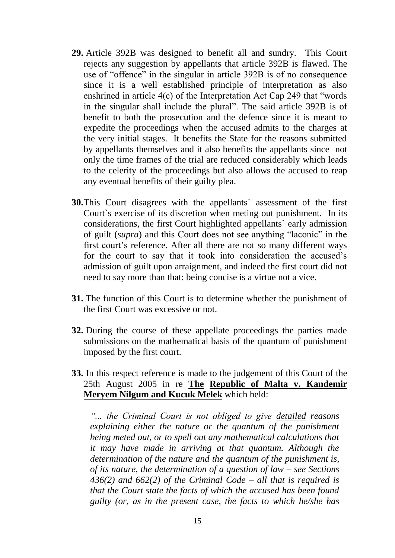- **29.** Article 392B was designed to benefit all and sundry. This Court rejects any suggestion by appellants that article 392B is flawed. The use of "offence" in the singular in article 392B is of no consequence since it is a well established principle of interpretation as also enshrined in article 4(c) of the Interpretation Act Cap 249 that "words in the singular shall include the plural". The said article 392B is of benefit to both the prosecution and the defence since it is meant to expedite the proceedings when the accused admits to the charges at the very initial stages. It benefits the State for the reasons submitted by appellants themselves and it also benefits the appellants since not only the time frames of the trial are reduced considerably which leads to the celerity of the proceedings but also allows the accused to reap any eventual benefits of their guilty plea.
- **30.**This Court disagrees with the appellants` assessment of the first Court`s exercise of its discretion when meting out punishment. In its considerations, the first Court highlighted appellants` early admission of guilt (*supra*) and this Court does not see anything "laconic" in the first court's reference. After all there are not so many different ways for the court to say that it took into consideration the accused's admission of guilt upon arraignment, and indeed the first court did not need to say more than that: being concise is a virtue not a vice.
- **31.** The function of this Court is to determine whether the punishment of the first Court was excessive or not.
- **32.** During the course of these appellate proceedings the parties made submissions on the mathematical basis of the quantum of punishment imposed by the first court.
- **33.** In this respect reference is made to the judgement of this Court of the 25th August 2005 in re **The Republic of Malta v. Kandemir Meryem Nilgum and Kucuk Melek** which held:

*"... the Criminal Court is not obliged to give detailed reasons explaining either the nature or the quantum of the punishment being meted out, or to spell out any mathematical calculations that it may have made in arriving at that quantum. Although the determination of the nature and the quantum of the punishment is, of its nature, the determination of a question of law – see Sections 436(2) and 662(2) of the Criminal Code – all that is required is that the Court state the facts of which the accused has been found guilty (or, as in the present case, the facts to which he/she has*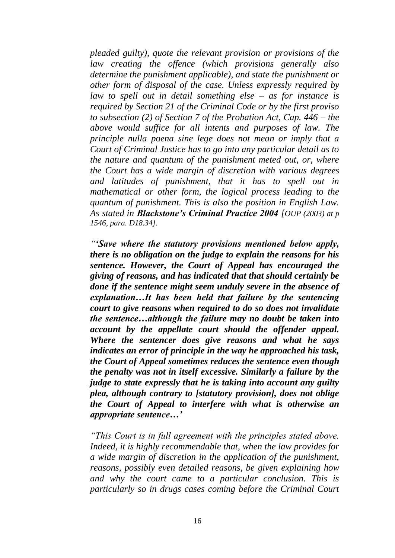*pleaded guilty), quote the relevant provision or provisions of the law creating the offence (which provisions generally also determine the punishment applicable), and state the punishment or other form of disposal of the case. Unless expressly required by law to spell out in detail something else – as for instance is required by Section 21 of the Criminal Code or by the first proviso to subsection (2) of Section 7 of the Probation Act, Cap. 446 – the above would suffice for all intents and purposes of law. The principle nulla poena sine lege does not mean or imply that a Court of Criminal Justice has to go into any particular detail as to the nature and quantum of the punishment meted out, or, where the Court has a wide margin of discretion with various degrees and latitudes of punishment, that it has to spell out in mathematical or other form, the logical process leading to the quantum of punishment. This is also the position in English Law. As stated in Blackstone's Criminal Practice 2004 [OUP (2003) at p 1546, para. D18.34].*

*"'Save where the statutory provisions mentioned below apply, there is no obligation on the judge to explain the reasons for his sentence. However, the Court of Appeal has encouraged the giving of reasons, and has indicated that that should certainly be done if the sentence might seem unduly severe in the absence of explanation…It has been held that failure by the sentencing court to give reasons when required to do so does not invalidate the sentence…although the failure may no doubt be taken into account by the appellate court should the offender appeal. Where the sentencer does give reasons and what he says indicates an error of principle in the way he approached his task, the Court of Appeal sometimes reduces the sentence even though the penalty was not in itself excessive. Similarly a failure by the judge to state expressly that he is taking into account any guilty plea, although contrary to [statutory provision], does not oblige the Court of Appeal to interfere with what is otherwise an appropriate sentence…'*

*"This Court is in full agreement with the principles stated above. Indeed, it is highly recommendable that, when the law provides for a wide margin of discretion in the application of the punishment, reasons, possibly even detailed reasons, be given explaining how and why the court came to a particular conclusion. This is particularly so in drugs cases coming before the Criminal Court*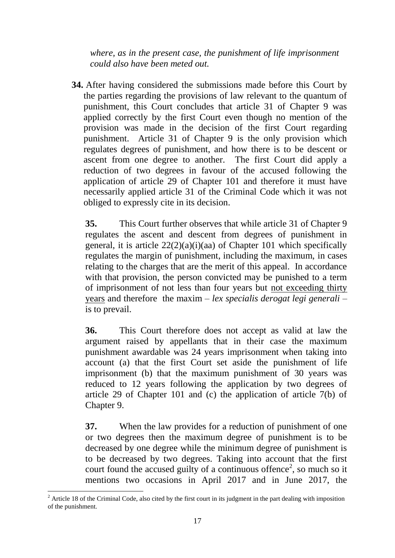*where, as in the present case, the punishment of life imprisonment could also have been meted out.*

**34.** After having considered the submissions made before this Court by the parties regarding the provisions of law relevant to the quantum of punishment, this Court concludes that article 31 of Chapter 9 was applied correctly by the first Court even though no mention of the provision was made in the decision of the first Court regarding punishment. Article 31 of Chapter 9 is the only provision which regulates degrees of punishment, and how there is to be descent or ascent from one degree to another. The first Court did apply a reduction of two degrees in favour of the accused following the application of article 29 of Chapter 101 and therefore it must have necessarily applied article 31 of the Criminal Code which it was not obliged to expressly cite in its decision.

**35.** This Court further observes that while article 31 of Chapter 9 regulates the ascent and descent from degrees of punishment in general, it is article  $22(2)(a)(i)(aa)$  of Chapter 101 which specifically regulates the margin of punishment, including the maximum, in cases relating to the charges that are the merit of this appeal. In accordance with that provision, the person convicted may be punished to a term of imprisonment of not less than four years but not exceeding thirty years and therefore the maxim – *lex specialis derogat legi generali* – is to prevail.

**36.** This Court therefore does not accept as valid at law the argument raised by appellants that in their case the maximum punishment awardable was 24 years imprisonment when taking into account (a) that the first Court set aside the punishment of life imprisonment (b) that the maximum punishment of 30 years was reduced to 12 years following the application by two degrees of article 29 of Chapter 101 and (c) the application of article 7(b) of Chapter 9.

**37.** When the law provides for a reduction of punishment of one or two degrees then the maximum degree of punishment is to be decreased by one degree while the minimum degree of punishment is to be decreased by two degrees. Taking into account that the first court found the accused guilty of a continuous offence<sup>2</sup>, so much so it mentions two occasions in April 2017 and in June 2017, the

<sup>1</sup>  $2$  Article 18 of the Criminal Code, also cited by the first court in its judgment in the part dealing with imposition of the punishment.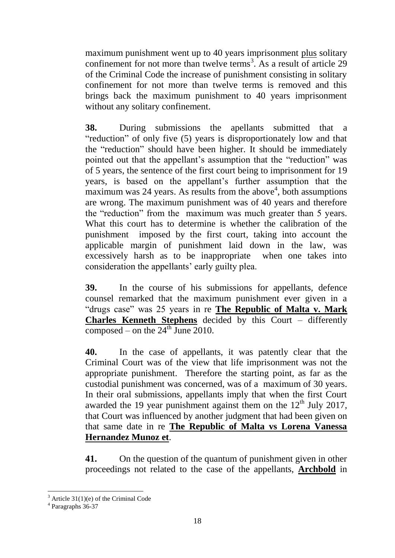maximum punishment went up to 40 years imprisonment plus solitary confinement for not more than twelve terms<sup>3</sup>. As a result of article  $29$ of the Criminal Code the increase of punishment consisting in solitary confinement for not more than twelve terms is removed and this brings back the maximum punishment to 40 years imprisonment without any solitary confinement.

**38.** During submissions the apellants submitted that a "reduction" of only five (5) years is disproportionately low and that the "reduction" should have been higher. It should be immediately pointed out that the appellant's assumption that the "reduction" was of 5 years, the sentence of the first court being to imprisonment for 19 years, is based on the appellant's further assumption that the  $maximum$  was 24 years. As results from the above<sup>4</sup>, both assumptions are wrong. The maximum punishment was of 40 years and therefore the "reduction" from the maximum was much greater than 5 years. What this court has to determine is whether the calibration of the punishment imposed by the first court, taking into account the applicable margin of punishment laid down in the law, was excessively harsh as to be inappropriate when one takes into consideration the appellants' early guilty plea.

**39.** In the course of his submissions for appellants, defence counsel remarked that the maximum punishment ever given in a "drugs case" was 25 years in re **The Republic of Malta v. Mark Charles Kenneth Stephens** decided by this Court – differently composed – on the  $24^{\text{th}}$  June 2010.

**40.** In the case of appellants, it was patently clear that the Criminal Court was of the view that life imprisonment was not the appropriate punishment. Therefore the starting point, as far as the custodial punishment was concerned, was of a maximum of 30 years. In their oral submissions, appellants imply that when the first Court awarded the 19 year punishment against them on the  $12<sup>th</sup>$  July 2017, that Court was influenced by another judgment that had been given on that same date in re **The Republic of Malta vs Lorena Vanessa Hernandez Munoz et**.

**41.** On the question of the quantum of punishment given in other proceedings not related to the case of the appellants, **Archbold** in

1

 $3$  Article 31(1)(e) of the Criminal Code

<sup>4</sup> Paragraphs 36-37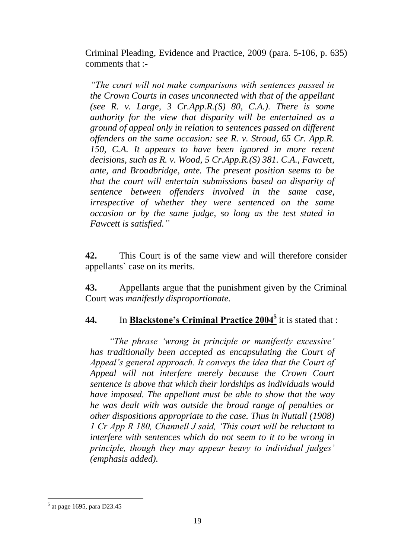Criminal Pleading, Evidence and Practice, 2009 (para. 5-106, p. 635) comments that :-

*"The court will not make comparisons with sentences passed in the Crown Courts in cases unconnected with that of the appellant*  (see R. v. Large, 3  $Cr, App.R.(S)$  80, C.A.). There is some *authority for the view that disparity will be entertained as a ground of appeal only in relation to sentences passed on different offenders on the same occasion: see R. v. Stroud, 65 Cr. App.R. 150, C.A. It appears to have been ignored in more recent decisions, such as R. v. Wood, 5 Cr.App.R.(S) 381. C.A., Fawcett, ante, and Broadbridge, ante. The present position seems to be that the court will entertain submissions based on disparity of sentence between offenders involved in the same case, irrespective of whether they were sentenced on the same occasion or by the same judge, so long as the test stated in Fawcett is satisfied."*

**42.** This Court is of the same view and will therefore consider appellants` case on its merits.

**43.** Appellants argue that the punishment given by the Criminal Court was *manifestly disproportionate.*

**44.** In **Blackstone's Criminal Practice 2004<sup>5</sup>** it is stated that :

*"The phrase 'wrong in principle or manifestly excessive' has traditionally been accepted as encapsulating the Court of Appeal's general approach. It conveys the idea that the Court of Appeal will not interfere merely because the Crown Court sentence is above that which their lordships as individuals would have imposed. The appellant must be able to show that the way he was dealt with was outside the broad range of penalties or other dispositions appropriate to the case. Thus in Nuttall (1908) 1 Cr App R 180, Channell J said, 'This court will be reluctant to interfere with sentences which do not seem to it to be wrong in principle, though they may appear heavy to individual judges' (emphasis added).* 

1

<sup>5</sup> at page 1695, para D23.45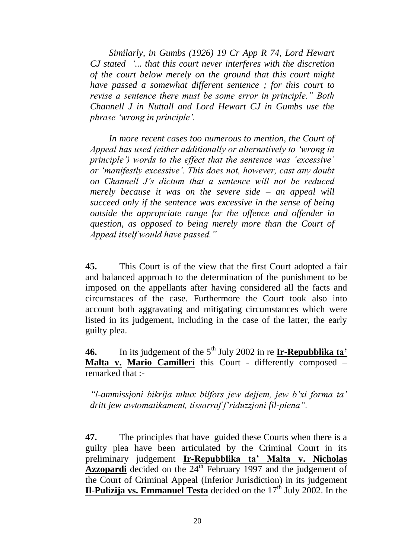*Similarly, in Gumbs (1926) 19 Cr App R 74, Lord Hewart CJ stated '... that this court never interferes with the discretion of the court below merely on the ground that this court might have passed a somewhat different sentence ; for this court to revise a sentence there must be some error in principle." Both Channell J in Nuttall and Lord Hewart CJ in Gumbs use the phrase 'wrong in principle'.* 

In more recent cases too numerous to mention, the Court of *Appeal has used (either additionally or alternatively to 'wrong in principle') words to the effect that the sentence was 'excessive' or 'manifestly excessive'. This does not, however, cast any doubt on Channell J's dictum that a sentence will not be reduced merely because it was on the severe side – an appeal will succeed only if the sentence was excessive in the sense of being outside the appropriate range for the offence and offender in question, as opposed to being merely more than the Court of Appeal itself would have passed."* 

**45.** This Court is of the view that the first Court adopted a fair and balanced approach to the determination of the punishment to be imposed on the appellants after having considered all the facts and circumstaces of the case. Furthermore the Court took also into account both aggravating and mitigating circumstances which were listed in its judgement, including in the case of the latter, the early guilty plea.

**46.** In its judgement of the 5<sup>th</sup> July 2002 in re **Ir-Repubblika ta' Malta v. Mario Camilleri** this Court - differently composed – remarked that :-

*"l-ammissjoni bikrija mhux bilfors jew dejjem, jew b'xi forma ta' dritt jew awtomatikament, tissarraf f'riduzzjoni fil-piena".*

**47.** The principles that have guided these Courts when there is a guilty plea have been articulated by the Criminal Court in its preliminary judgement **Ir-Repubblika ta' Malta v. Nicholas Azzopardi** decided on the 24<sup>th</sup> February 1997 and the judgement of the Court of Criminal Appeal (Inferior Jurisdiction) in its judgement **Il-Pulizija vs. Emmanuel Testa** decided on the  $17<sup>th</sup>$  July 2002. In the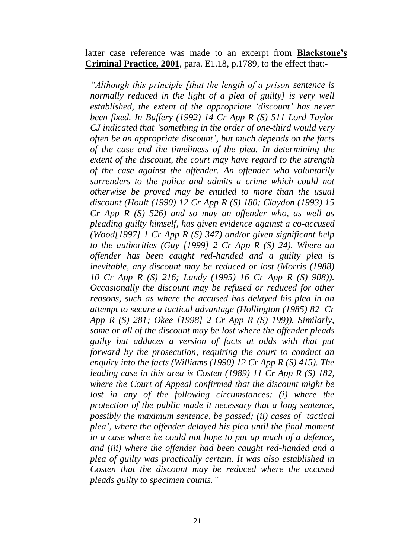latter case reference was made to an excerpt from **Blackstone's Criminal Practice, 2001**, para. E1.18, p.1789, to the effect that:-

*"Although this principle [that the length of a prison sentence is normally reduced in the light of a plea of guilty] is very well established, the extent of the appropriate 'discount' has never been fixed. In Buffery (1992) 14 Cr App R (S) 511 Lord Taylor CJ indicated that 'something in the order of one-third would very often be an appropriate discount', but much depends on the facts of the case and the timeliness of the plea. In determining the extent of the discount, the court may have regard to the strength of the case against the offender. An offender who voluntarily surrenders to the police and admits a crime which could not otherwise be proved may be entitled to more than the usual discount (Hoult (1990) 12 Cr App R (S) 180; Claydon (1993) 15 Cr App R (S) 526) and so may an offender who, as well as pleading guilty himself, has given evidence against a co-accused (Wood[1997] 1 Cr App R (S) 347) and/or given significant help to the authorities (Guy [1999] 2 Cr App R (S) 24). Where an offender has been caught red-handed and a guilty plea is inevitable, any discount may be reduced or lost (Morris (1988) 10 Cr App R (S) 216; Landy (1995) 16 Cr App R (S) 908)). Occasionally the discount may be refused or reduced for other reasons, such as where the accused has delayed his plea in an attempt to secure a tactical advantage (Hollington (1985) 82 Cr App R (S) 281; Okee [1998] 2 Cr App R (S) 199)). Similarly, some or all of the discount may be lost where the offender pleads guilty but adduces a version of facts at odds with that put forward by the prosecution, requiring the court to conduct an enquiry into the facts (Williams (1990) 12 Cr App R (S) 415). The leading case in this area is Costen (1989) 11 Cr App R (S) 182, where the Court of Appeal confirmed that the discount might be lost in any of the following circumstances: (i) where the protection of the public made it necessary that a long sentence, possibly the maximum sentence, be passed; (ii) cases of 'tactical plea', where the offender delayed his plea until the final moment in a case where he could not hope to put up much of a defence, and (iii) where the offender had been caught red-handed and a plea of guilty was practically certain. It was also established in Costen that the discount may be reduced where the accused pleads guilty to specimen counts."*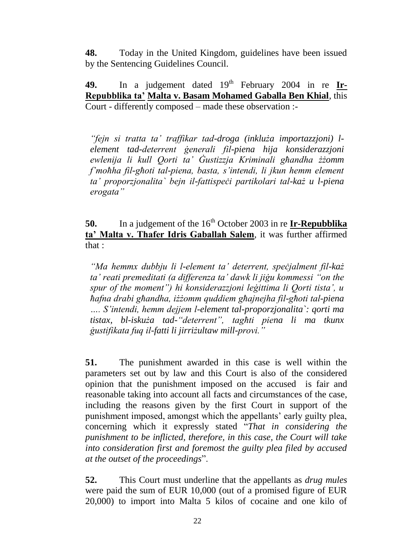**48.** Today in the United Kingdom, guidelines have been issued by the Sentencing Guidelines Council.

**49.** In a judgement dated  $19<sup>th</sup>$  February 2004 in re **Ir-Repubblika ta' Malta v. Basam Mohamed Gaballa Ben Khial**, this Court - differently composed – made these observation :-

*"fejn si tratta ta' traffikar tad-droga (inkluża importazzjoni) lelement tad-deterrent ġenerali fil-piena hija konsiderazzjoni ewlenija li kull Qorti ta' Ġustizzja Kriminali għandha żżomm f'moħha fil-għoti tal-piena, basta, s'intendi, li jkun hemm element ta' proporzjonalita` bejn il-fattispeċi partikolari tal-każ u l-piena erogata"*

**50.** In a judgement of the 16<sup>th</sup> October 2003 in re **Ir-Repubblika ta' Malta v. Thafer Idris Gaballah Salem**, it was further affirmed that :

*"Ma hemmx dubbju li l-element ta' deterrent, speċjalment fil-każ ta' reati premeditati (a differenza ta' dawk li jiġu kommessi "on the spur of the moment") hi konsiderazzjoni leġittima li Qorti tista', u ħafna drabi għandha, iżżomm quddiem għajnejha fil-għoti tal-piena …. S'intendi, hemm dejjem l-element tal-proporzjonalita`: qorti ma tistax, bl-iskuża tad-"deterrent", tagħti piena li ma tkunx ġustifikata fuq il-fatti li jirriżultaw mill-provi."*

**51.** The punishment awarded in this case is well within the parameters set out by law and this Court is also of the considered opinion that the punishment imposed on the accused is fair and reasonable taking into account all facts and circumstances of the case, including the reasons given by the first Court in support of the punishment imposed, amongst which the appellants' early guilty plea, concerning which it expressly stated "*That in considering the punishment to be inflicted, therefore, in this case, the Court will take into consideration first and foremost the guilty plea filed by accused at the outset of the proceedings*".

**52.** This Court must underline that the appellants as *drug mules* were paid the sum of EUR 10,000 (out of a promised figure of EUR 20,000) to import into Malta 5 kilos of cocaine and one kilo of